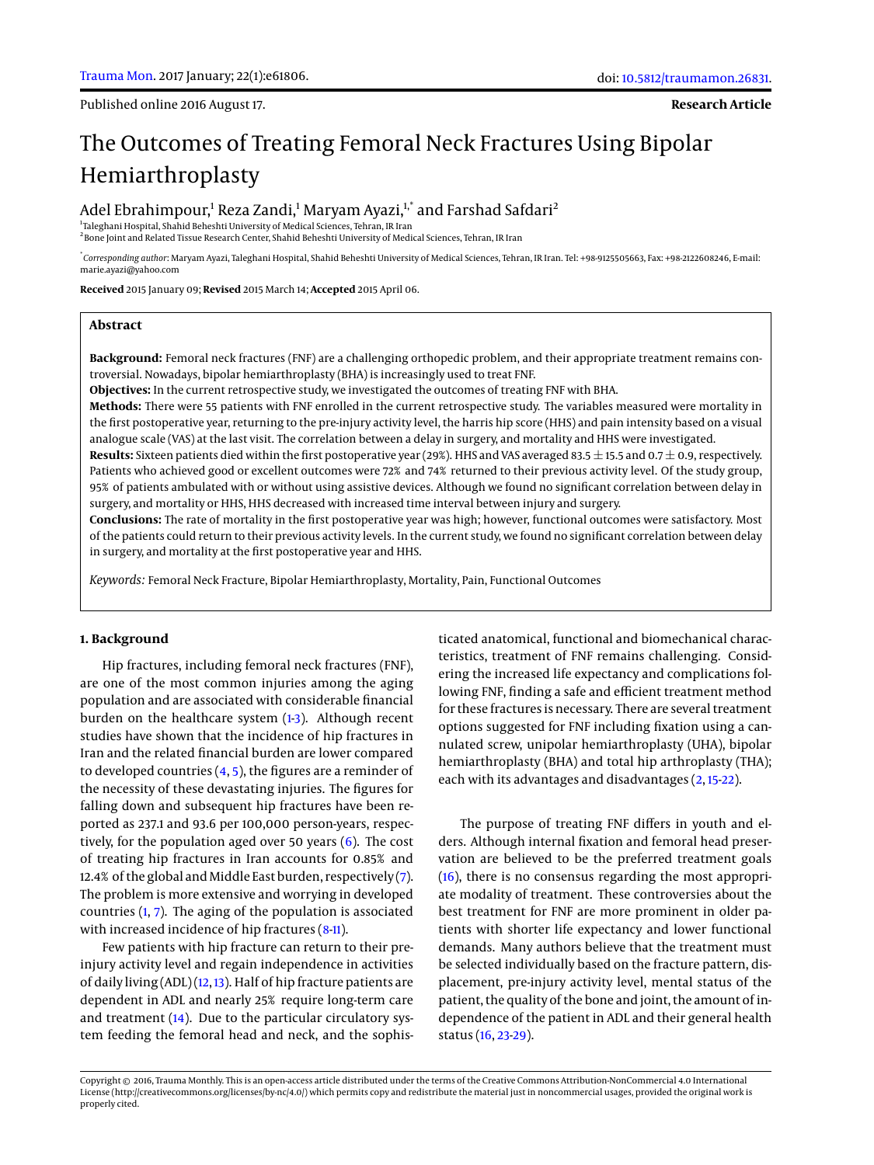Published online 2016 August 17.

**Research Article**

# The Outcomes of Treating Femoral Neck Fractures Using Bipolar Hemiarthroplasty

# Adel Ebrahimpour,<sup>1</sup> Reza Zandi,<sup>1</sup> Maryam Ayazi,<sup>1,\*</sup> and Farshad Safdari<sup>2</sup>

1 Taleghani Hospital, Shahid Beheshti University of Medical Sciences, Tehran, IR Iran  $^2$ Bone Joint and Related Tissue Research Center, Shahid Beheshti University of Medical Sciences, Tehran, IR Iran

\* *Corresponding author*: Maryam Ayazi, Taleghani Hospital, Shahid Beheshti University of Medical Sciences, Tehran, IR Iran. Tel: +98-9125505663, Fax: +98-2122608246, E-mail: marie.ayazi@yahoo.com

**Received** 2015 January 09; **Revised** 2015 March 14; **Accepted** 2015 April 06.

#### **Abstract**

**Background:** Femoral neck fractures (FNF) are a challenging orthopedic problem, and their appropriate treatment remains controversial. Nowadays, bipolar hemiarthroplasty (BHA) is increasingly used to treat FNF.

**Objectives:** In the current retrospective study, we investigated the outcomes of treating FNF with BHA.

**Methods:** There were 55 patients with FNF enrolled in the current retrospective study. The variables measured were mortality in the first postoperative year, returning to the pre-injury activity level, the harris hip score (HHS) and pain intensity based on a visual analogue scale (VAS) at the last visit. The correlation between a delay in surgery, and mortality and HHS were investigated.

**Results:** Sixteen patients died within the first postoperative year (29%). HHS and VAS averaged 83.5  $\pm$  15.5 and 0.7 $\pm$ 0.9, respectively. Patients who achieved good or excellent outcomes were 72% and 74% returned to their previous activity level. Of the study group, 95% of patients ambulated with or without using assistive devices. Although we found no significant correlation between delay in surgery, and mortality or HHS, HHS decreased with increased time interval between injury and surgery.

**Conclusions:** The rate of mortality in the first postoperative year was high; however, functional outcomes were satisfactory. Most of the patients could return to their previous activity levels. In the current study, we found no significant correlation between delay in surgery, and mortality at the first postoperative year and HHS.

*Keywords:* Femoral Neck Fracture, Bipolar Hemiarthroplasty, Mortality, Pain, Functional Outcomes

## **1. Background**

Hip fractures, including femoral neck fractures (FNF), are one of the most common injuries among the aging population and are associated with considerable financial burden on the healthcare system  $(1-3)$  $(1-3)$ . Although recent studies have shown that the incidence of hip fractures in Iran and the related financial burden are lower compared to developed countries  $(4, 5)$  $(4, 5)$  $(4, 5)$ , the figures are a reminder of the necessity of these devastating injuries. The figures for falling down and subsequent hip fractures have been reported as 237.1 and 93.6 per 100,000 person-years, respectively, for the population aged over 50 years  $(6)$ . The cost of treating hip fractures in Iran accounts for 0.85% and 12.4% of the global and Middle East burden, respectively  $(7)$ . The problem is more extensive and worrying in developed countries [\(1,](#page-4-0) [7\)](#page-4-5). The aging of the population is associated with increased incidence of hip fractures [\(8-](#page-4-6)[11\)](#page-4-7).

Few patients with hip fracture can return to their preinjury activity level and regain independence in activities of daily living  $(ADL)$   $(12, 13)$  $(12, 13)$  $(12, 13)$ . Half of hip fracture patients are dependent in ADL and nearly 25% require long-term care and treatment [\(14\)](#page-4-10). Due to the particular circulatory system feeding the femoral head and neck, and the sophis-

ticated anatomical, functional and biomechanical characteristics, treatment of FNF remains challenging. Considering the increased life expectancy and complications following FNF, finding a safe and efficient treatment method for these fractures is necessary. There are several treatment options suggested for FNF including fixation using a cannulated screw, unipolar hemiarthroplasty (UHA), bipolar hemiarthroplasty (BHA) and total hip arthroplasty (THA); each with its advantages and disadvantages [\(2,](#page-4-11) [15-](#page-4-12)[22\)](#page-4-13).

The purpose of treating FNF differs in youth and elders. Although internal fixation and femoral head preservation are believed to be the preferred treatment goals [\(16\)](#page-4-14), there is no consensus regarding the most appropriate modality of treatment. These controversies about the best treatment for FNF are more prominent in older patients with shorter life expectancy and lower functional demands. Many authors believe that the treatment must be selected individually based on the fracture pattern, displacement, pre-injury activity level, mental status of the patient, the quality of the bone and joint, the amount of independence of the patient in ADL and their general health status [\(16,](#page-4-14) [23-](#page-4-15)[29\)](#page-5-0).

Copyright © 2016, Trauma Monthly. This is an open-access article distributed under the terms of the Creative Commons Attribution-NonCommercial 4.0 International License (http://creativecommons.org/licenses/by-nc/4.0/) which permits copy and redistribute the material just in noncommercial usages, provided the original work is properly cited.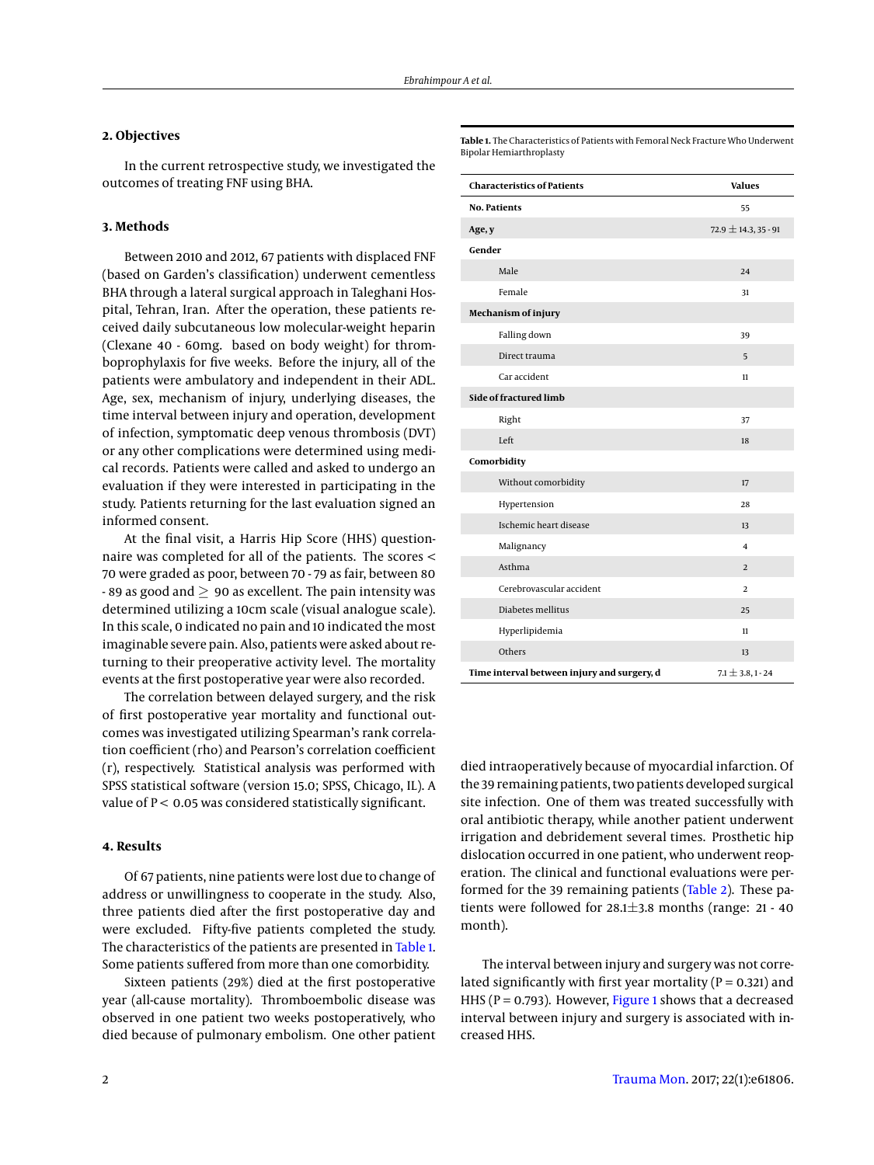# **2. Objectives**

In the current retrospective study, we investigated the outcomes of treating FNF using BHA.

#### **3. Methods**

Between 2010 and 2012, 67 patients with displaced FNF (based on Garden's classification) underwent cementless BHA through a lateral surgical approach in Taleghani Hospital, Tehran, Iran. After the operation, these patients received daily subcutaneous low molecular-weight heparin (Clexane 40 - 60mg. based on body weight) for thromboprophylaxis for five weeks. Before the injury, all of the patients were ambulatory and independent in their ADL. Age, sex, mechanism of injury, underlying diseases, the time interval between injury and operation, development of infection, symptomatic deep venous thrombosis (DVT) or any other complications were determined using medical records. Patients were called and asked to undergo an evaluation if they were interested in participating in the study. Patients returning for the last evaluation signed an informed consent.

At the final visit, a Harris Hip Score (HHS) questionnaire was completed for all of the patients. The scores < 70 were graded as poor, between 70 - 79 as fair, between 80 - 89 as good and  $\geq$  90 as excellent. The pain intensity was determined utilizing a 10cm scale (visual analogue scale). In this scale, 0 indicated no pain and 10 indicated the most imaginable severe pain. Also, patients were asked about returning to their preoperative activity level. The mortality events at the first postoperative year were also recorded.

The correlation between delayed surgery, and the risk of first postoperative year mortality and functional outcomes was investigated utilizing Spearman's rank correlation coefficient (rho) and Pearson's correlation coefficient (r), respectively. Statistical analysis was performed with SPSS statistical software (version 15.0; SPSS, Chicago, IL). A value of  $P < 0.05$  was considered statistically significant.

## **4. Results**

Of 67 patients, nine patients were lost due to change of address or unwillingness to cooperate in the study. Also, three patients died after the first postoperative day and were excluded. Fifty-five patients completed the study. The characteristics of the patients are presented in [Table 1.](#page-1-0) Some patients suffered from more than one comorbidity.

Sixteen patients (29%) died at the first postoperative year (all-cause mortality). Thromboembolic disease was observed in one patient two weeks postoperatively, who died because of pulmonary embolism. One other patient

<span id="page-1-0"></span>**Table 1.** The Characteristics of Patients with Femoral Neck Fracture Who Underwent Bipolar Hemiarthroplasty

| <b>Characteristics of Patients</b>          | <b>Values</b>            |
|---------------------------------------------|--------------------------|
| <b>No. Patients</b>                         | 55                       |
| Age, y                                      | $72.9 \pm 14.3, 35 - 91$ |
| Gender                                      |                          |
| Male                                        | 24                       |
| Female                                      | 31                       |
| Mechanism of injury                         |                          |
| Falling down                                | 39                       |
| Direct trauma                               | 5                        |
| Car accident                                | 11                       |
| Side of fractured limb                      |                          |
| Right                                       | 37                       |
| Left                                        | 18                       |
| Comorbidity                                 |                          |
| Without comorbidity                         | 17                       |
| Hypertension                                | 28                       |
| Ischemic heart disease                      | 13                       |
| Malignancy                                  | 4                        |
| Asthma                                      | 2                        |
| Cerebrovascular accident                    | $\overline{2}$           |
| Diabetes mellitus                           | 25                       |
| Hyperlipidemia                              | 11                       |
| Others                                      | 13                       |
| Time interval between injury and surgery, d | $7.1 \pm 3.8, 1 - 24$    |

died intraoperatively because of myocardial infarction. Of the 39 remaining patients, two patients developed surgical site infection. One of them was treated successfully with oral antibiotic therapy, while another patient underwent irrigation and debridement several times. Prosthetic hip dislocation occurred in one patient, who underwent reoperation. The clinical and functional evaluations were performed for the 39 remaining patients [\(Table 2\)](#page-2-0). These patients were followed for 28.1±3.8 months (range: 21 - 40 month).

The interval between injury and surgery was not correlated significantly with first year mortality ( $P = 0.321$ ) and HHS ( $P = 0.793$ ). However, [Figure 1](#page-2-1) shows that a decreased interval between injury and surgery is associated with increased HHS.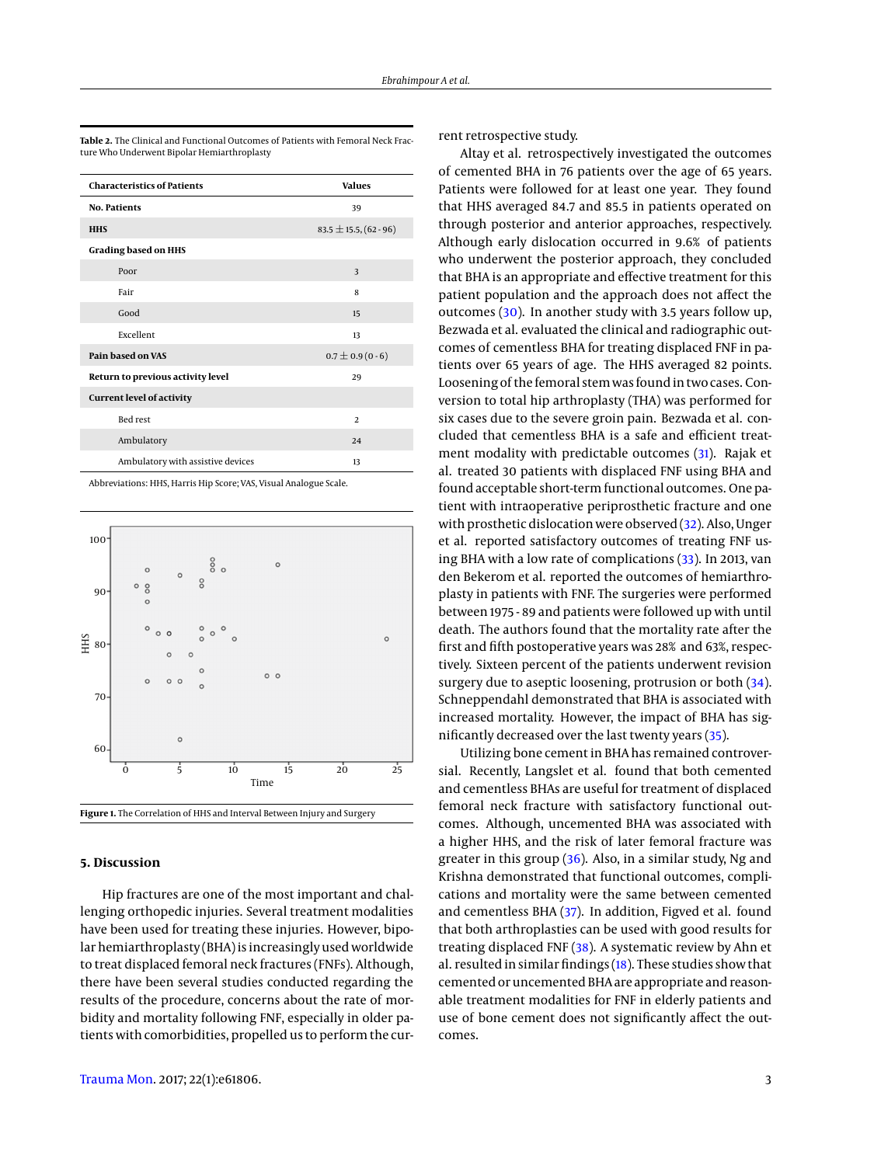| <b>Characteristics of Patients</b> | <b>Values</b>               |
|------------------------------------|-----------------------------|
| <b>No. Patients</b>                | 39                          |
| <b>HHS</b>                         | $83.5 \pm 15.5$ , (62 - 96) |
| <b>Grading based on HHS</b>        |                             |
| Poor                               | 3                           |
| Fair                               | 8                           |
| Good                               | 15                          |
| Excellent                          | 13                          |
| Pain based on VAS                  | $0.7 \pm 0.9$ (0 - 6)       |
| Return to previous activity level  | 29                          |
| <b>Current level of activity</b>   |                             |
| <b>Bed rest</b>                    | $\overline{a}$              |
| Ambulatory                         | 24                          |
| Ambulatory with assistive devices  | 13                          |

<span id="page-2-0"></span>**Table 2.** The Clinical and Functional Outcomes of Patients with Femoral Neck Fracture Who Underwent Bipolar Hemiarthroplasty

Abbreviations: HHS, Harris Hip Score; VAS, Visual Analogue Scale.

<span id="page-2-1"></span>

#### **5. Discussion**

Hip fractures are one of the most important and challenging orthopedic injuries. Several treatment modalities have been used for treating these injuries. However, bipolar hemiarthroplasty (BHA) is increasingly used worldwide to treat displaced femoral neck fractures (FNFs). Although, there have been several studies conducted regarding the results of the procedure, concerns about the rate of morbidity and mortality following FNF, especially in older patients with comorbidities, propelled us to perform the cur-

[Trauma Mon.](http://traumamon.com) 2017; 22(1):e61806. 3

rent retrospective study.

Altay et al. retrospectively investigated the outcomes of cemented BHA in 76 patients over the age of 65 years. Patients were followed for at least one year. They found that HHS averaged 84.7 and 85.5 in patients operated on through posterior and anterior approaches, respectively. Although early dislocation occurred in 9.6% of patients who underwent the posterior approach, they concluded that BHA is an appropriate and effective treatment for this patient population and the approach does not affect the outcomes [\(30\)](#page-5-1). In another study with 3.5 years follow up, Bezwada et al. evaluated the clinical and radiographic outcomes of cementless BHA for treating displaced FNF in patients over 65 years of age. The HHS averaged 82 points. Loosening of the femoral stem was found in two cases. Conversion to total hip arthroplasty (THA) was performed for six cases due to the severe groin pain. Bezwada et al. concluded that cementless BHA is a safe and efficient treatment modality with predictable outcomes [\(31\)](#page-5-2). Rajak et al. treated 30 patients with displaced FNF using BHA and found acceptable short-term functional outcomes. One patient with intraoperative periprosthetic fracture and one with prosthetic dislocation were observed [\(32\)](#page-5-3). Also, Unger et al. reported satisfactory outcomes of treating FNF using BHA with a low rate of complications [\(33\)](#page-5-4). In 2013, van den Bekerom et al. reported the outcomes of hemiarthroplasty in patients with FNF. The surgeries were performed between 1975 - 89 and patients were followed up with until death. The authors found that the mortality rate after the first and fifth postoperative years was 28% and 63%, respectively. Sixteen percent of the patients underwent revision surgery due to aseptic loosening, protrusion or both  $(34)$ . Schneppendahl demonstrated that BHA is associated with increased mortality. However, the impact of BHA has significantly decreased over the last twenty years [\(35\)](#page-5-6).

Utilizing bone cement in BHA has remained controversial. Recently, Langslet et al. found that both cemented and cementless BHAs are useful for treatment of displaced femoral neck fracture with satisfactory functional outcomes. Although, uncemented BHA was associated with a higher HHS, and the risk of later femoral fracture was greater in this group [\(36\)](#page-5-7). Also, in a similar study, Ng and Krishna demonstrated that functional outcomes, complications and mortality were the same between cemented and cementless BHA [\(37\)](#page-5-8). In addition, Figved et al. found that both arthroplasties can be used with good results for treating displaced FNF [\(38\)](#page-5-9). A systematic review by Ahn et al. resulted in similar findings [\(18\)](#page-4-16). These studies show that cemented or uncemented BHA are appropriate and reasonable treatment modalities for FNF in elderly patients and use of bone cement does not significantly affect the outcomes.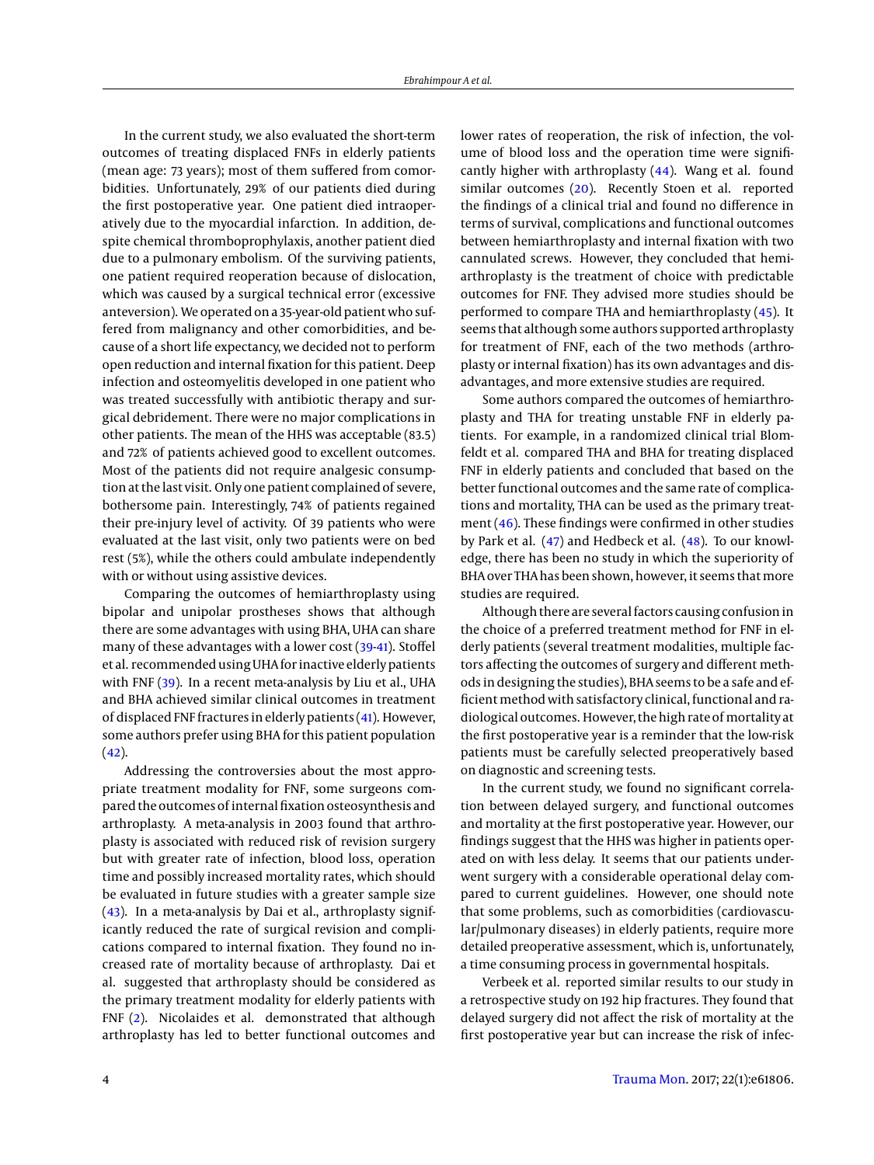In the current study, we also evaluated the short-term outcomes of treating displaced FNFs in elderly patients (mean age: 73 years); most of them suffered from comorbidities. Unfortunately, 29% of our patients died during the first postoperative year. One patient died intraoperatively due to the myocardial infarction. In addition, despite chemical thromboprophylaxis, another patient died due to a pulmonary embolism. Of the surviving patients, one patient required reoperation because of dislocation, which was caused by a surgical technical error (excessive anteversion). We operated on a 35-year-old patient who suffered from malignancy and other comorbidities, and because of a short life expectancy, we decided not to perform open reduction and internal fixation for this patient. Deep infection and osteomyelitis developed in one patient who was treated successfully with antibiotic therapy and surgical debridement. There were no major complications in other patients. The mean of the HHS was acceptable (83.5) and 72% of patients achieved good to excellent outcomes. Most of the patients did not require analgesic consumption at the last visit. Only one patient complained of severe, bothersome pain. Interestingly, 74% of patients regained their pre-injury level of activity. Of 39 patients who were evaluated at the last visit, only two patients were on bed rest (5%), while the others could ambulate independently with or without using assistive devices.

Comparing the outcomes of hemiarthroplasty using bipolar and unipolar prostheses shows that although there are some advantages with using BHA, UHA can share many of these advantages with a lower cost [\(39](#page-5-10)[-41\)](#page-5-11). Stoffel et al. recommended using UHA for inactive elderly patients with FNF [\(39\)](#page-5-10). In a recent meta-analysis by Liu et al., UHA and BHA achieved similar clinical outcomes in treatment of displaced FNF fractures in elderly patients [\(41\)](#page-5-11). However, some authors prefer using BHA for this patient population  $(42)$ .

Addressing the controversies about the most appropriate treatment modality for FNF, some surgeons compared the outcomes of internal fixation osteosynthesis and arthroplasty. A meta-analysis in 2003 found that arthroplasty is associated with reduced risk of revision surgery but with greater rate of infection, blood loss, operation time and possibly increased mortality rates, which should be evaluated in future studies with a greater sample size [\(43\)](#page-5-13). In a meta-analysis by Dai et al., arthroplasty significantly reduced the rate of surgical revision and complications compared to internal fixation. They found no increased rate of mortality because of arthroplasty. Dai et al. suggested that arthroplasty should be considered as the primary treatment modality for elderly patients with FNF [\(2\)](#page-4-11). Nicolaides et al. demonstrated that although arthroplasty has led to better functional outcomes and

lower rates of reoperation, the risk of infection, the volume of blood loss and the operation time were significantly higher with arthroplasty [\(44\)](#page-5-14). Wang et al. found similar outcomes [\(20\)](#page-4-17). Recently Stoen et al. reported the findings of a clinical trial and found no difference in terms of survival, complications and functional outcomes between hemiarthroplasty and internal fixation with two cannulated screws. However, they concluded that hemiarthroplasty is the treatment of choice with predictable outcomes for FNF. They advised more studies should be performed to compare THA and hemiarthroplasty [\(45\)](#page-5-15). It seems that although some authors supported arthroplasty for treatment of FNF, each of the two methods (arthroplasty or internal fixation) has its own advantages and disadvantages, and more extensive studies are required.

Some authors compared the outcomes of hemiarthroplasty and THA for treating unstable FNF in elderly patients. For example, in a randomized clinical trial Blomfeldt et al. compared THA and BHA for treating displaced FNF in elderly patients and concluded that based on the better functional outcomes and the same rate of complications and mortality, THA can be used as the primary treatment  $(46)$ . These findings were confirmed in other studies by Park et al. [\(47\)](#page-5-17) and Hedbeck et al. [\(48\)](#page-5-18). To our knowledge, there has been no study in which the superiority of BHA over THA has been shown, however, it seems that more studies are required.

Although there are several factors causing confusion in the choice of a preferred treatment method for FNF in elderly patients (several treatment modalities, multiple factors affecting the outcomes of surgery and different methods in designing the studies), BHA seems to be a safe and efficient method with satisfactory clinical, functional and radiological outcomes. However, the high rate of mortality at the first postoperative year is a reminder that the low-risk patients must be carefully selected preoperatively based on diagnostic and screening tests.

In the current study, we found no significant correlation between delayed surgery, and functional outcomes and mortality at the first postoperative year. However, our findings suggest that the HHS was higher in patients operated on with less delay. It seems that our patients underwent surgery with a considerable operational delay compared to current guidelines. However, one should note that some problems, such as comorbidities (cardiovascular/pulmonary diseases) in elderly patients, require more detailed preoperative assessment, which is, unfortunately, a time consuming process in governmental hospitals.

Verbeek et al. reported similar results to our study in a retrospective study on 192 hip fractures. They found that delayed surgery did not affect the risk of mortality at the first postoperative year but can increase the risk of infec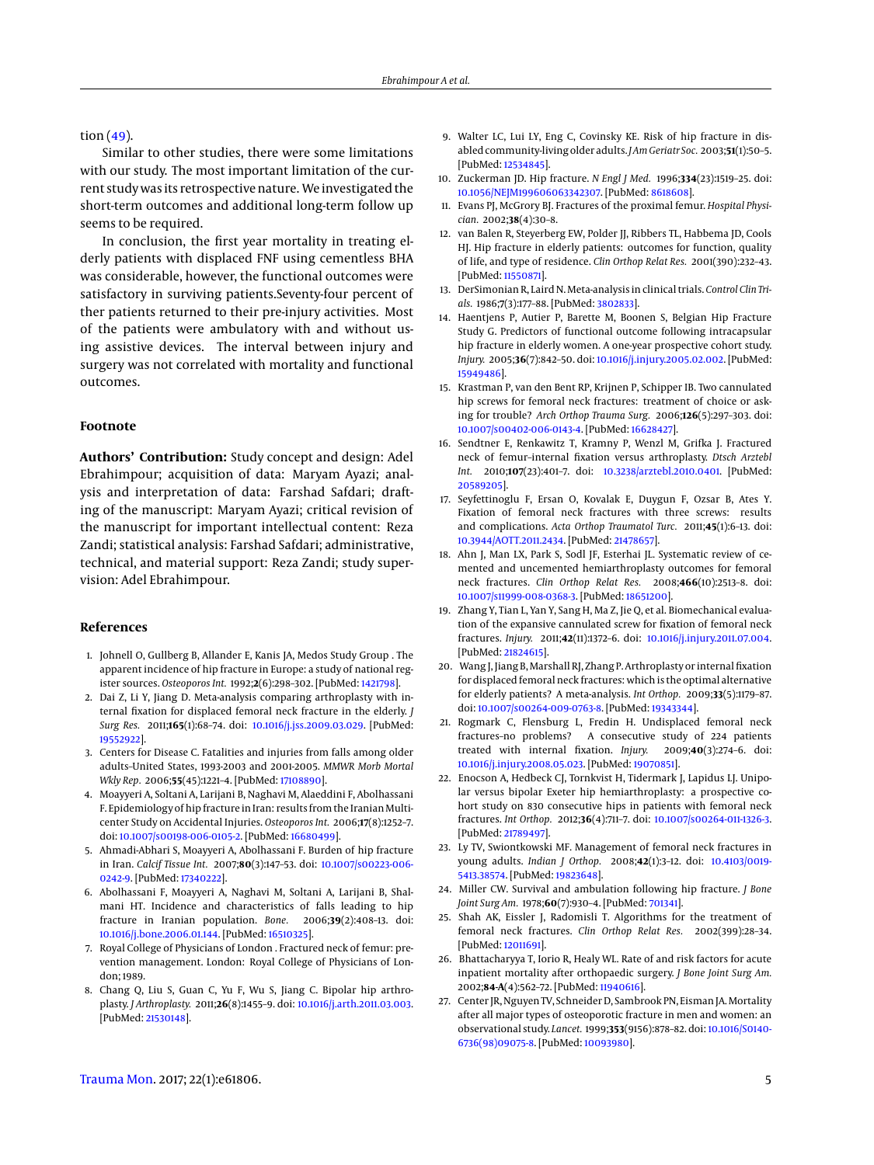tion  $(49)$ .

Similar to other studies, there were some limitations with our study. The most important limitation of the current study was its retrospective nature. We investigated the short-term outcomes and additional long-term follow up seems to be required.

In conclusion, the first year mortality in treating elderly patients with displaced FNF using cementless BHA was considerable, however, the functional outcomes were satisfactory in surviving patients.Seventy-four percent of ther patients returned to their pre-injury activities. Most of the patients were ambulatory with and without using assistive devices. The interval between injury and surgery was not correlated with mortality and functional outcomes.

#### **Footnote**

**Authors' Contribution:** Study concept and design: Adel Ebrahimpour; acquisition of data: Maryam Ayazi; analysis and interpretation of data: Farshad Safdari; drafting of the manuscript: Maryam Ayazi; critical revision of the manuscript for important intellectual content: Reza Zandi; statistical analysis: Farshad Safdari; administrative, technical, and material support: Reza Zandi; study supervision: Adel Ebrahimpour.

#### **References**

- <span id="page-4-0"></span>1. Johnell O, Gullberg B, Allander E, Kanis JA, Medos Study Group . The apparent incidence of hip fracture in Europe: a study of national register sources. *Osteoporos Int.* 1992;**2**(6):298–302. [PubMed: [1421798\]](http://www.ncbi.nlm.nih.gov/pubmed/1421798).
- <span id="page-4-11"></span>2. Dai Z, Li Y, Jiang D. Meta-analysis comparing arthroplasty with internal fixation for displaced femoral neck fracture in the elderly. *J Surg Res.* 2011;**165**(1):68–74. doi: [10.1016/j.jss.2009.03.029.](http://dx.doi.org/10.1016/j.jss.2009.03.029) [PubMed: [19552922\]](http://www.ncbi.nlm.nih.gov/pubmed/19552922).
- <span id="page-4-1"></span>3. Centers for Disease C. Fatalities and injuries from falls among older adults–United States, 1993-2003 and 2001-2005. *MMWR Morb Mortal Wkly Rep.* 2006;**55**(45):1221–4. [PubMed: [17108890\]](http://www.ncbi.nlm.nih.gov/pubmed/17108890).
- <span id="page-4-2"></span>4. Moayyeri A, Soltani A, Larijani B, Naghavi M, Alaeddini F, Abolhassani F. Epidemiology of hip fracture in Iran: results from the Iranian Multicenter Study on Accidental Injuries. *Osteoporos Int.* 2006;**17**(8):1252–7. doi: [10.1007/s00198-006-0105-2.](http://dx.doi.org/10.1007/s00198-006-0105-2) [PubMed: [16680499\]](http://www.ncbi.nlm.nih.gov/pubmed/16680499).
- <span id="page-4-3"></span>5. Ahmadi-Abhari S, Moayyeri A, Abolhassani F. Burden of hip fracture in Iran. *Calcif Tissue Int.* 2007;**80**(3):147–53. doi: [10.1007/s00223-006-](http://dx.doi.org/10.1007/s00223-006-0242-9) [0242-9.](http://dx.doi.org/10.1007/s00223-006-0242-9) [PubMed: [17340222\]](http://www.ncbi.nlm.nih.gov/pubmed/17340222).
- <span id="page-4-4"></span>6. Abolhassani F, Moayyeri A, Naghavi M, Soltani A, Larijani B, Shalmani HT. Incidence and characteristics of falls leading to hip fracture in Iranian population. *Bone.* 2006;**39**(2):408–13. doi: [10.1016/j.bone.2006.01.144.](http://dx.doi.org/10.1016/j.bone.2006.01.144) [PubMed: [16510325\]](http://www.ncbi.nlm.nih.gov/pubmed/16510325).
- <span id="page-4-5"></span>7. Royal College of Physicians of London . Fractured neck of femur: prevention management. London: Royal College of Physicians of London; 1989.
- <span id="page-4-6"></span>8. Chang Q, Liu S, Guan C, Yu F, Wu S, Jiang C. Bipolar hip arthroplasty. *J Arthroplasty.* 2011;**26**(8):1455–9. doi: [10.1016/j.arth.2011.03.003.](http://dx.doi.org/10.1016/j.arth.2011.03.003) [PubMed: [21530148\]](http://www.ncbi.nlm.nih.gov/pubmed/21530148).
- 9. Walter LC, Lui LY, Eng C, Covinsky KE. Risk of hip fracture in disabled community-living older adults. *J Am Geriatr Soc.* 2003;**51**(1):50–5. [PubMed: [12534845\]](http://www.ncbi.nlm.nih.gov/pubmed/12534845).
- 10. Zuckerman JD. Hip fracture. *N Engl J Med.* 1996;**334**(23):1519–25. doi: [10.1056/NEJM199606063342307.](http://dx.doi.org/10.1056/NEJM199606063342307) [PubMed: [8618608\]](http://www.ncbi.nlm.nih.gov/pubmed/8618608).
- <span id="page-4-7"></span>11. Evans PJ, McGrory BJ. Fractures of the proximal femur. *Hospital Physician.* 2002;**38**(4):30–8.
- <span id="page-4-8"></span>12. van Balen R, Steyerberg EW, Polder JJ, Ribbers TL, Habbema JD, Cools HJ. Hip fracture in elderly patients: outcomes for function, quality of life, and type of residence. *Clin Orthop Relat Res.* 2001(390):232–43. [PubMed: [11550871\]](http://www.ncbi.nlm.nih.gov/pubmed/11550871).
- <span id="page-4-9"></span>13. DerSimonian R, Laird N. Meta-analysis in clinical trials. *Control Clin Trials.* 1986;**7**(3):177–88. [PubMed: [3802833\]](http://www.ncbi.nlm.nih.gov/pubmed/3802833).
- <span id="page-4-10"></span>14. Haentjens P, Autier P, Barette M, Boonen S, Belgian Hip Fracture Study G. Predictors of functional outcome following intracapsular hip fracture in elderly women. A one-year prospective cohort study. *Injury.* 2005;**36**(7):842–50. doi: [10.1016/j.injury.2005.02.002.](http://dx.doi.org/10.1016/j.injury.2005.02.002) [PubMed: [15949486\]](http://www.ncbi.nlm.nih.gov/pubmed/15949486).
- <span id="page-4-12"></span>15. Krastman P, van den Bent RP, Krijnen P, Schipper IB. Two cannulated hip screws for femoral neck fractures: treatment of choice or asking for trouble? *Arch Orthop Trauma Surg.* 2006;**126**(5):297–303. doi: [10.1007/s00402-006-0143-4.](http://dx.doi.org/10.1007/s00402-006-0143-4) [PubMed: [16628427\]](http://www.ncbi.nlm.nih.gov/pubmed/16628427).
- <span id="page-4-14"></span>16. Sendtner E, Renkawitz T, Kramny P, Wenzl M, Grifka J. Fractured neck of femur–internal fixation versus arthroplasty. *Dtsch Arztebl Int.* 2010;**107**(23):401–7. doi: [10.3238/arztebl.2010.0401.](http://dx.doi.org/10.3238/arztebl.2010.0401) [PubMed: [20589205\]](http://www.ncbi.nlm.nih.gov/pubmed/20589205).
- 17. Seyfettinoglu F, Ersan O, Kovalak E, Duygun F, Ozsar B, Ates Y. Fixation of femoral neck fractures with three screws: results and complications. *Acta Orthop Traumatol Turc.* 2011;**45**(1):6–13. doi: [10.3944/AOTT.2011.2434.](http://dx.doi.org/10.3944/AOTT.2011.2434) [PubMed: [21478657\]](http://www.ncbi.nlm.nih.gov/pubmed/21478657).
- <span id="page-4-16"></span>18. Ahn J, Man LX, Park S, Sodl JF, Esterhai JL. Systematic review of cemented and uncemented hemiarthroplasty outcomes for femoral neck fractures. *Clin Orthop Relat Res.* 2008;**466**(10):2513–8. doi: [10.1007/s11999-008-0368-3.](http://dx.doi.org/10.1007/s11999-008-0368-3) [PubMed: [18651200\]](http://www.ncbi.nlm.nih.gov/pubmed/18651200).
- 19. Zhang Y, Tian L, Yan Y, Sang H, Ma Z, Jie Q, et al. Biomechanical evaluation of the expansive cannulated screw for fixation of femoral neck fractures. *Injury.* 2011;**42**(11):1372–6. doi: [10.1016/j.injury.2011.07.004.](http://dx.doi.org/10.1016/j.injury.2011.07.004) [PubMed: [21824615\]](http://www.ncbi.nlm.nih.gov/pubmed/21824615).
- <span id="page-4-17"></span>20. Wang J, Jiang B, Marshall RJ, Zhang P. Arthroplasty or internal fixation for displaced femoral neck fractures: which is the optimal alternative for elderly patients? A meta-analysis. *Int Orthop.* 2009;**33**(5):1179–87. doi: [10.1007/s00264-009-0763-8.](http://dx.doi.org/10.1007/s00264-009-0763-8) [PubMed: [19343344\]](http://www.ncbi.nlm.nih.gov/pubmed/19343344).
- 21. Rogmark C, Flensburg L, Fredin H. Undisplaced femoral neck fractures–no problems? A consecutive study of 224 patients treated with internal fixation. *Injury.* 2009;**40**(3):274–6. doi: [10.1016/j.injury.2008.05.023.](http://dx.doi.org/10.1016/j.injury.2008.05.023) [PubMed: [19070851\]](http://www.ncbi.nlm.nih.gov/pubmed/19070851).
- <span id="page-4-13"></span>22. Enocson A, Hedbeck CJ, Tornkvist H, Tidermark J, Lapidus LJ. Unipolar versus bipolar Exeter hip hemiarthroplasty: a prospective cohort study on 830 consecutive hips in patients with femoral neck fractures. *Int Orthop.* 2012;**36**(4):711–7. doi: [10.1007/s00264-011-1326-3.](http://dx.doi.org/10.1007/s00264-011-1326-3) [PubMed: [21789497\]](http://www.ncbi.nlm.nih.gov/pubmed/21789497).
- <span id="page-4-15"></span>23. Ly TV, Swiontkowski MF. Management of femoral neck fractures in young adults. *Indian J Orthop.* 2008;**42**(1):3–12. doi: [10.4103/0019-](http://dx.doi.org/10.4103/0019-5413.38574) [5413.38574.](http://dx.doi.org/10.4103/0019-5413.38574) [PubMed: [19823648\]](http://www.ncbi.nlm.nih.gov/pubmed/19823648).
- 24. Miller CW. Survival and ambulation following hip fracture. *J Bone Joint Surg Am.* 1978;**60**(7):930–4. [PubMed: [701341\]](http://www.ncbi.nlm.nih.gov/pubmed/701341).
- 25. Shah AK, Eissler J, Radomisli T. Algorithms for the treatment of femoral neck fractures. *Clin Orthop Relat Res.* 2002(399):28–34. [PubMed: [12011691\]](http://www.ncbi.nlm.nih.gov/pubmed/12011691).
- 26. Bhattacharyya T, Iorio R, Healy WL. Rate of and risk factors for acute inpatient mortality after orthopaedic surgery. *J Bone Joint Surg Am.* 2002;**84-A**(4):562–72. [PubMed: [11940616\]](http://www.ncbi.nlm.nih.gov/pubmed/11940616).
- 27. Center JR, Nguyen TV, Schneider D, Sambrook PN, Eisman JA.Mortality after all major types of osteoporotic fracture in men and women: an observational study. *Lancet.* 1999;**353**(9156):878–82. doi: [10.1016/S0140-](http://dx.doi.org/10.1016/S0140-6736(98)09075-8) [6736\(98\)09075-8.](http://dx.doi.org/10.1016/S0140-6736(98)09075-8) [PubMed: [10093980\]](http://www.ncbi.nlm.nih.gov/pubmed/10093980).